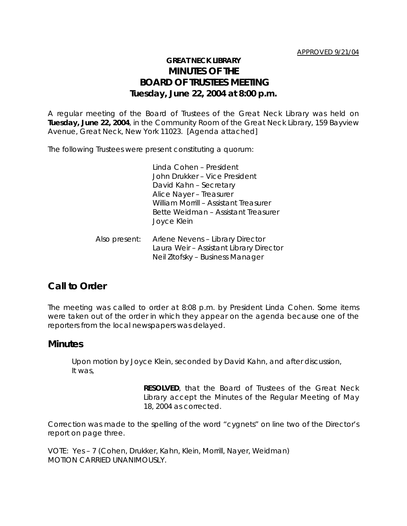## **GREAT NECK LIBRARY MINUTES OF THE BOARD OF TRUSTEES MEETING Tuesday, June 22, 2004 at 8:00 p.m.**

A regular meeting of the Board of Trustees of the Great Neck Library was held on **Tuesday, June 22, 2004**, in the Community Room of the Great Neck Library, 159 Bayview Avenue, Great Neck, New York 11023. [Agenda attached]

The following Trustees were present constituting a quorum:

Linda Cohen – President John Drukker – Vice President David Kahn – Secretary Alice Nayer – Treasurer William Morrill – Assistant Treasurer Bette Weidman – Assistant Treasurer Joyce Klein

Also present: Arlene Nevens – Library Director Laura Weir – Assistant Library Director Neil Zitofsky – Business Manager

## **Call to Order**

The meeting was called to order at 8:08 p.m. by President Linda Cohen. Some items were taken out of the order in which they appear on the agenda because one of the reporters from the local newspapers was delayed.

### **Minutes**

Upon motion by Joyce Klein, seconded by David Kahn, and after discussion, It was,

> **RESOLVED**, that the Board of Trustees of the Great Neck Library accept the Minutes of the Regular Meeting of May 18, 2004 as corrected.

Correction was made to the spelling of the word "cygnets" on line two of the Director's report on page three.

VOTE:Yes – 7 (Cohen, Drukker, Kahn, Klein, Morrill, Nayer, Weidman) *MOTION CARRIED UNANIMOUSLY.*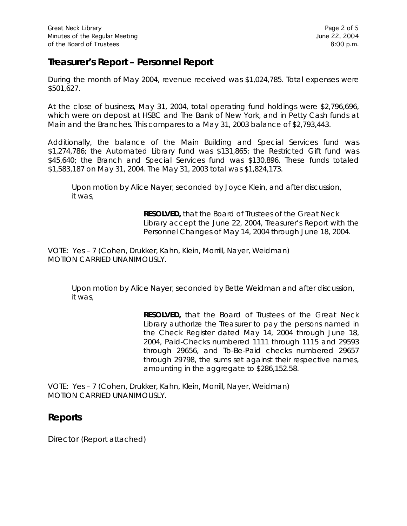# **Treasurer's Report – Personnel Report**

During the month of May 2004, revenue received was \$1,024,785. Total expenses were \$501,627.

At the close of business, May 31, 2004, total operating fund holdings were \$2,796,696, which were on deposit at HSBC and The Bank of New York, and in Petty Cash funds at Main and the Branches. This compares to a May 31, 2003 balance of \$2,793,443.

Additionally, the balance of the Main Building and Special Services fund was \$1,274,786; the Automated Library fund was \$131,865; the Restricted Gift fund was \$45,640; the Branch and Special Services fund was \$130,896. These funds totaled \$1,583,187 on May 31, 2004. The May 31, 2003 total was \$1,824,173.

Upon motion by Alice Nayer, seconded by Joyce Klein, and after discussion, it was,

> **RESOLVED,** that the Board of Trustees of the Great Neck Library accept the June 22, 2004, Treasurer's Report with the Personnel Changes of May 14, 2004 through June 18, 2004.

VOTE:Yes – 7 (Cohen, Drukker, Kahn, Klein, Morrill, Nayer, Weidman) *MOTION CARRIED UNANIMOUSLY.*

Upon motion by Alice Nayer, seconded by Bette Weidman and after discussion, it was,

> **RESOLVED,** that the Board of Trustees of the Great Neck Library authorize the Treasurer to pay the persons named in the Check Register dated May 14, 2004 through June 18, 2004, Paid-Checks numbered 1111 through 1115 and 29593 through 29656, and To-Be-Paid checks numbered 29657 through 29798, the sums set against their respective names, amounting in the aggregate to \$286,152.58.

VOTE:Yes – 7 (Cohen, Drukker, Kahn, Klein, Morrill, Nayer, Weidman) *MOTION CARRIED UNANIMOUSLY.*

## **Reports**

Director (Report attached)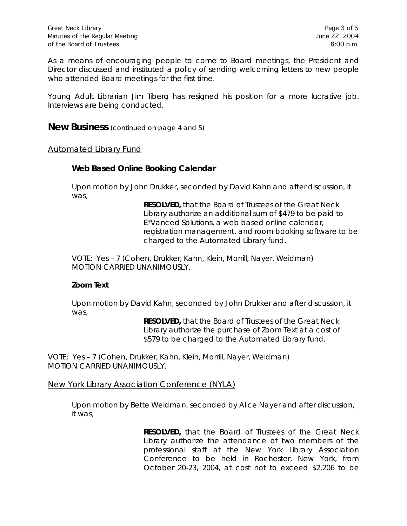As a means of encouraging people to come to Board meetings, the President and Director discussed and instituted a policy of sending welcoming letters to new people who attended Board meetings for the first time.

Young Adult Librarian Jim Tiberg has resigned his position for a more lucrative job. Interviews are being conducted.

**New Business** (continued on page 4 and 5)

#### Automated Library Fund

#### *Web Based Online Booking Calendar*

Upon motion by John Drukker, seconded by David Kahn and after discussion, it was,

> **RESOLVED,** that the Board of Trustees of the Great Neck Library authorize an additional sum of \$479 to be paid to E\*Vanced Solutions, a web based online calendar, registration management, and room booking software to be charged to the Automated Library fund.

VOTE:Yes – 7 (Cohen, Drukker, Kahn, Klein, Morrill, Nayer, Weidman) *MOTION CARRIED UNANIMOUSLY.*

### *Zoom Text*

Upon motion by David Kahn, seconded by John Drukker and after discussion, it was,

> **RESOLVED,** that the Board of Trustees of the Great Neck Library authorize the purchase of Zoom Text at a cost of \$579 to be charged to the Automated Library fund.

VOTE:Yes – 7 (Cohen, Drukker, Kahn, Klein, Morrill, Nayer, Weidman) *MOTION CARRIED UNANIMOUSLY.*

New York Library Association Conference (NYLA)

Upon motion by Bette Weidman, seconded by Alice Nayer and after discussion, it was,

> **RESOLVED,** that the Board of Trustees of the Great Neck Library authorize the attendance of two members of the professional staff at the New York Library Association Conference to be held in Rochester, New York, from October 20-23, 2004, at cost not to exceed \$2,206 to be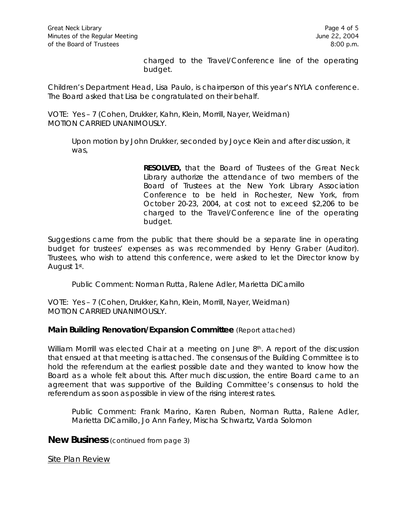charged to the Travel/Conference line of the operating budget.

Children's Department Head, Lisa Paulo, is chairperson of this year's NYLA conference. The Board asked that Lisa be congratulated on their behalf.

VOTE:Yes – 7 (Cohen, Drukker, Kahn, Klein, Morrill, Nayer, Weidman) *MOTION CARRIED UNANIMOUSLY.*

Upon motion by John Drukker, seconded by Joyce Klein and after discussion, it was,

> **RESOLVED,** that the Board of Trustees of the Great Neck Library authorize the attendance of two members of the Board of Trustees at the New York Library Association Conference to be held in Rochester, New York, from October 20-23, 2004, at cost not to exceed \$2,206 to be charged to the Travel/Conference line of the operating budget.

Suggestions came from the public that there should be a separate line in operating budget for trustees' expenses as was recommended by Henry Graber (Auditor). Trustees, who wish to attend this conference, were asked to let the Director know by August 1st.

Public Comment: Norman Rutta, Ralene Adler, Marietta DiCamillo

VOTE:Yes – 7 (Cohen, Drukker, Kahn, Klein, Morrill, Nayer, Weidman) *MOTION CARRIED UNANIMOUSLY.*

### **Main Building Renovation/Expansion Committee** (Report attached)

William Morrill was elected Chair at a meeting on June 8<sup>th</sup>. A report of the discussion that ensued at that meeting is attached. The consensus of the Building Committee is to hold the referendum at the earliest possible date and they wanted to know how the Board as a whole felt about this. After much discussion, the entire Board came to an agreement that was supportive of the Building Committee's consensus to hold the referendum as soon as possible in view of the rising interest rates.

Public Comment: Frank Marino, Karen Ruben, Norman Rutta, Ralene Adler, Marietta DiCamillo, Jo Ann Farley, Mischa Schwartz, Varda Solomon

**New Business** (continued from page 3)

Site Plan Review